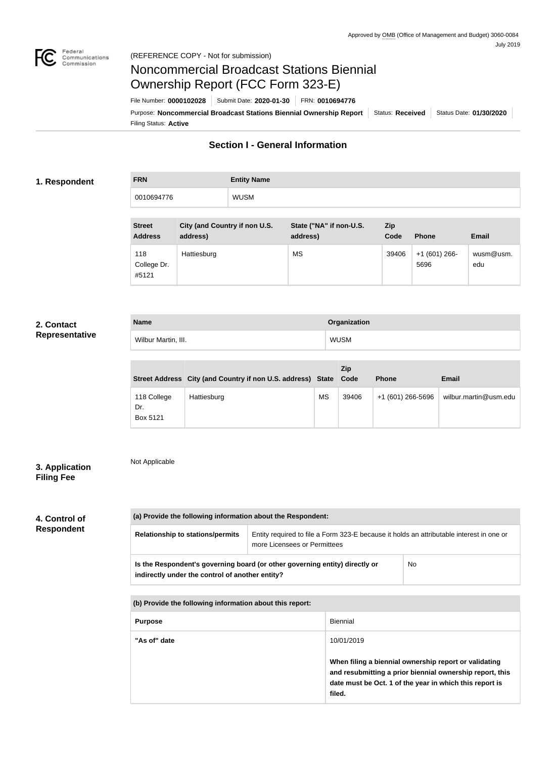

# Noncommercial Broadcast Stations Biennial Ownership Report (FCC Form 323-E)

Filing Status: **Active** Purpose: Noncommercial Broadcast Stations Biennial Ownership Report Status: Received Status Date: 01/30/2020 File Number: **0000102028** Submit Date: **2020-01-30** FRN: **0010694776**

## **Section I - General Information**

### **1. Respondent**

**FRN Entity Name** 0010694776 WUSM

| <b>Street</b><br><b>Address</b> | City (and Country if non U.S.<br>address) | State ("NA" if non-U.S.<br>address) | <b>Zip</b><br>Code | <b>Phone</b>         | <b>Email</b>     |
|---------------------------------|-------------------------------------------|-------------------------------------|--------------------|----------------------|------------------|
| 118<br>College Dr.<br>#5121     | Hattiesburg                               | <b>MS</b>                           | 39406              | $+1(601)266$<br>5696 | wusm@usm.<br>edu |

### **2. Contact Representative**

| <b>Name</b>         | Organization |
|---------------------|--------------|
| Wilbur Martin, III. | WUSM         |

|                                | Street Address City (and Country if non U.S. address) State Code |           | Zip   | <b>Phone</b>      | <b>Email</b>          |
|--------------------------------|------------------------------------------------------------------|-----------|-------|-------------------|-----------------------|
| 118 College<br>Dr.<br>Box 5121 | Hattiesburg                                                      | <b>MS</b> | 39406 | +1 (601) 266-5696 | wilbur.martin@usm.edu |

## **3. Application Filing Fee**

Not Applicable

## **4. Control of Respondent**

**(a) Provide the following information about the Respondent: Relationship to stations/permits** | Entity required to file a Form 323-E because it holds an attributable interest in one or more Licensees or Permittees **Is the Respondent's governing board (or other governing entity) directly or**  No

**indirectly under the control of another entity?**

| (b) Provide the following information about this report: |                                                                                                                                                                                        |  |  |
|----------------------------------------------------------|----------------------------------------------------------------------------------------------------------------------------------------------------------------------------------------|--|--|
| <b>Purpose</b>                                           | <b>Biennial</b>                                                                                                                                                                        |  |  |
| "As of" date                                             | 10/01/2019                                                                                                                                                                             |  |  |
|                                                          | When filing a biennial ownership report or validating<br>and resubmitting a prior biennial ownership report, this<br>date must be Oct. 1 of the year in which this report is<br>filed. |  |  |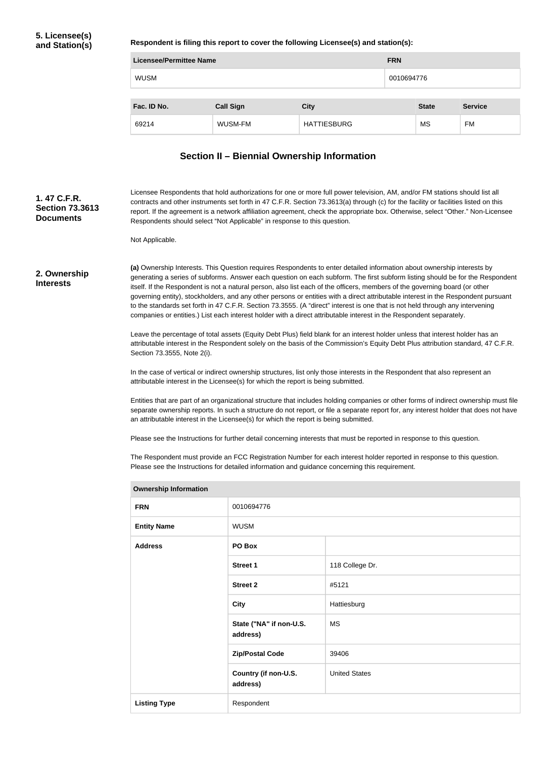**Respondent is filing this report to cover the following Licensee(s) and station(s):**

| <b>Licensee/Permittee Name</b> |                  |                    |  | <b>FRN</b>   |                |  |
|--------------------------------|------------------|--------------------|--|--------------|----------------|--|
| <b>WUSM</b>                    |                  | 0010694776         |  |              |                |  |
|                                |                  |                    |  |              |                |  |
| Fac. ID No.                    | <b>Call Sign</b> | <b>City</b>        |  | <b>State</b> | <b>Service</b> |  |
| 69214                          | WUSM-FM          | <b>HATTIESBURG</b> |  | MS           | FM             |  |

# **Section II – Biennial Ownership Information**

| 1.47 C.F.R.<br><b>Section 73.3613</b><br><b>Documents</b>                                                                                                         | Not Applicable.                                                                                                                                                                                                                                                                                                                                                                                                                                                                                                                                                                                                                                                                                                                                                                     | Licensee Respondents that hold authorizations for one or more full power television, AM, and/or FM stations should list all<br>contracts and other instruments set forth in 47 C.F.R. Section 73.3613(a) through (c) for the facility or facilities listed on this<br>report. If the agreement is a network affiliation agreement, check the appropriate box. Otherwise, select "Other." Non-Licensee<br>Respondents should select "Not Applicable" in response to this question. |                                                                                                                                                                                                                                                                                                                                                                                                                                                                                                                                                  |  |  |
|-------------------------------------------------------------------------------------------------------------------------------------------------------------------|-------------------------------------------------------------------------------------------------------------------------------------------------------------------------------------------------------------------------------------------------------------------------------------------------------------------------------------------------------------------------------------------------------------------------------------------------------------------------------------------------------------------------------------------------------------------------------------------------------------------------------------------------------------------------------------------------------------------------------------------------------------------------------------|-----------------------------------------------------------------------------------------------------------------------------------------------------------------------------------------------------------------------------------------------------------------------------------------------------------------------------------------------------------------------------------------------------------------------------------------------------------------------------------|--------------------------------------------------------------------------------------------------------------------------------------------------------------------------------------------------------------------------------------------------------------------------------------------------------------------------------------------------------------------------------------------------------------------------------------------------------------------------------------------------------------------------------------------------|--|--|
| 2. Ownership<br><b>Interests</b><br>Leave the percentage of total assets (Equity Debt Plus) field blank for an interest holder unless that interest holder has an | (a) Ownership Interests. This Question requires Respondents to enter detailed information about ownership interests by<br>generating a series of subforms. Answer each question on each subform. The first subform listing should be for the Respondent<br>itself. If the Respondent is not a natural person, also list each of the officers, members of the governing board (or other<br>governing entity), stockholders, and any other persons or entities with a direct attributable interest in the Respondent pursuant<br>to the standards set forth in 47 C.F.R. Section 73.3555. (A "direct" interest is one that is not held through any intervening<br>companies or entities.) List each interest holder with a direct attributable interest in the Respondent separately. |                                                                                                                                                                                                                                                                                                                                                                                                                                                                                   |                                                                                                                                                                                                                                                                                                                                                                                                                                                                                                                                                  |  |  |
|                                                                                                                                                                   | Section 73.3555, Note 2(i).<br>attributable interest in the Licensee(s) for which the report is being submitted.                                                                                                                                                                                                                                                                                                                                                                                                                                                                                                                                                                                                                                                                    |                                                                                                                                                                                                                                                                                                                                                                                                                                                                                   | attributable interest in the Respondent solely on the basis of the Commission's Equity Debt Plus attribution standard, 47 C.F.R.<br>In the case of vertical or indirect ownership structures, list only those interests in the Respondent that also represent an<br>Entities that are part of an organizational structure that includes holding companies or other forms of indirect ownership must file<br>separate ownership reports. In such a structure do not report, or file a separate report for, any interest holder that does not have |  |  |
|                                                                                                                                                                   | an attributable interest in the Licensee(s) for which the report is being submitted.<br>Please see the Instructions for further detail concerning interests that must be reported in response to this question.<br>The Respondent must provide an FCC Registration Number for each interest holder reported in response to this question.<br>Please see the Instructions for detailed information and guidance concerning this requirement.                                                                                                                                                                                                                                                                                                                                         |                                                                                                                                                                                                                                                                                                                                                                                                                                                                                   |                                                                                                                                                                                                                                                                                                                                                                                                                                                                                                                                                  |  |  |
|                                                                                                                                                                   | <b>Ownership Information</b>                                                                                                                                                                                                                                                                                                                                                                                                                                                                                                                                                                                                                                                                                                                                                        |                                                                                                                                                                                                                                                                                                                                                                                                                                                                                   |                                                                                                                                                                                                                                                                                                                                                                                                                                                                                                                                                  |  |  |
|                                                                                                                                                                   | <b>FRN</b>                                                                                                                                                                                                                                                                                                                                                                                                                                                                                                                                                                                                                                                                                                                                                                          | 0010694776                                                                                                                                                                                                                                                                                                                                                                                                                                                                        |                                                                                                                                                                                                                                                                                                                                                                                                                                                                                                                                                  |  |  |
|                                                                                                                                                                   | <b>Entity Name</b>                                                                                                                                                                                                                                                                                                                                                                                                                                                                                                                                                                                                                                                                                                                                                                  | <b>WUSM</b>                                                                                                                                                                                                                                                                                                                                                                                                                                                                       |                                                                                                                                                                                                                                                                                                                                                                                                                                                                                                                                                  |  |  |
|                                                                                                                                                                   | <b>Address</b>                                                                                                                                                                                                                                                                                                                                                                                                                                                                                                                                                                                                                                                                                                                                                                      | PO Box                                                                                                                                                                                                                                                                                                                                                                                                                                                                            |                                                                                                                                                                                                                                                                                                                                                                                                                                                                                                                                                  |  |  |
|                                                                                                                                                                   |                                                                                                                                                                                                                                                                                                                                                                                                                                                                                                                                                                                                                                                                                                                                                                                     | <b>Street 1</b>                                                                                                                                                                                                                                                                                                                                                                                                                                                                   | 118 College Dr.                                                                                                                                                                                                                                                                                                                                                                                                                                                                                                                                  |  |  |
|                                                                                                                                                                   |                                                                                                                                                                                                                                                                                                                                                                                                                                                                                                                                                                                                                                                                                                                                                                                     | <b>Street 2</b>                                                                                                                                                                                                                                                                                                                                                                                                                                                                   | #5121                                                                                                                                                                                                                                                                                                                                                                                                                                                                                                                                            |  |  |
|                                                                                                                                                                   |                                                                                                                                                                                                                                                                                                                                                                                                                                                                                                                                                                                                                                                                                                                                                                                     | <b>City</b>                                                                                                                                                                                                                                                                                                                                                                                                                                                                       | Hattiesburg                                                                                                                                                                                                                                                                                                                                                                                                                                                                                                                                      |  |  |
|                                                                                                                                                                   |                                                                                                                                                                                                                                                                                                                                                                                                                                                                                                                                                                                                                                                                                                                                                                                     | State ("NA" if non-U.S.<br>address)                                                                                                                                                                                                                                                                                                                                                                                                                                               | <b>MS</b>                                                                                                                                                                                                                                                                                                                                                                                                                                                                                                                                        |  |  |
|                                                                                                                                                                   |                                                                                                                                                                                                                                                                                                                                                                                                                                                                                                                                                                                                                                                                                                                                                                                     | <b>Zip/Postal Code</b>                                                                                                                                                                                                                                                                                                                                                                                                                                                            | 39406                                                                                                                                                                                                                                                                                                                                                                                                                                                                                                                                            |  |  |
|                                                                                                                                                                   |                                                                                                                                                                                                                                                                                                                                                                                                                                                                                                                                                                                                                                                                                                                                                                                     | Country (if non-U.S.<br>address)                                                                                                                                                                                                                                                                                                                                                                                                                                                  | <b>United States</b>                                                                                                                                                                                                                                                                                                                                                                                                                                                                                                                             |  |  |
|                                                                                                                                                                   | <b>Listing Type</b>                                                                                                                                                                                                                                                                                                                                                                                                                                                                                                                                                                                                                                                                                                                                                                 | Respondent                                                                                                                                                                                                                                                                                                                                                                                                                                                                        |                                                                                                                                                                                                                                                                                                                                                                                                                                                                                                                                                  |  |  |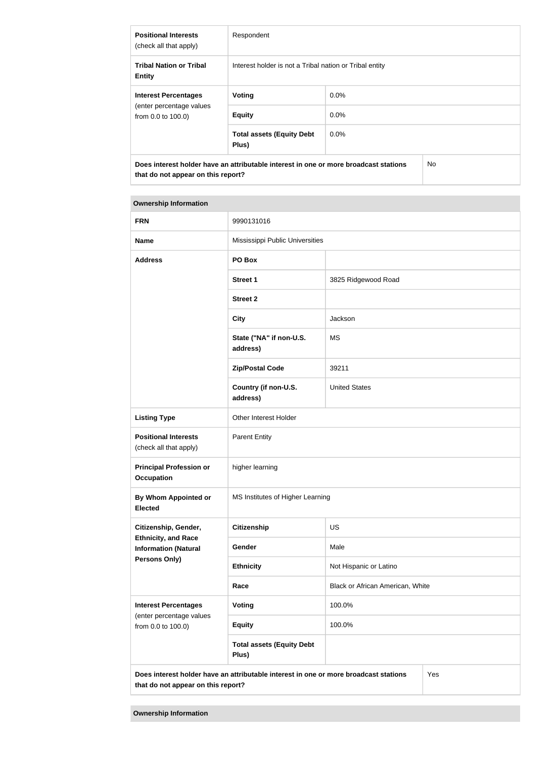| <b>Positional Interests</b><br>(check all that apply)                                | Respondent                                              |         |     |  |
|--------------------------------------------------------------------------------------|---------------------------------------------------------|---------|-----|--|
| <b>Tribal Nation or Tribal</b><br><b>Entity</b>                                      | Interest holder is not a Tribal nation or Tribal entity |         |     |  |
| <b>Interest Percentages</b>                                                          | Voting                                                  | $0.0\%$ |     |  |
| (enter percentage values<br>from 0.0 to 100.0)                                       | <b>Equity</b>                                           | $0.0\%$ |     |  |
|                                                                                      | <b>Total assets (Equity Debt</b><br>Plus)               | $0.0\%$ |     |  |
| Does interest holder have an attributable interest in one or more broadcast stations |                                                         |         | No. |  |

| <b>Ownership Information</b>                                                                                                      |                                           |                                  |  |  |
|-----------------------------------------------------------------------------------------------------------------------------------|-------------------------------------------|----------------------------------|--|--|
| <b>FRN</b>                                                                                                                        | 9990131016                                |                                  |  |  |
| <b>Name</b>                                                                                                                       | Mississippi Public Universities           |                                  |  |  |
| <b>Address</b>                                                                                                                    | PO Box                                    |                                  |  |  |
|                                                                                                                                   | <b>Street 1</b>                           | 3825 Ridgewood Road              |  |  |
|                                                                                                                                   | <b>Street 2</b>                           |                                  |  |  |
|                                                                                                                                   | <b>City</b>                               | Jackson                          |  |  |
|                                                                                                                                   | State ("NA" if non-U.S.<br>address)       | <b>MS</b>                        |  |  |
|                                                                                                                                   | <b>Zip/Postal Code</b>                    | 39211                            |  |  |
|                                                                                                                                   | Country (if non-U.S.<br>address)          | <b>United States</b>             |  |  |
| <b>Listing Type</b>                                                                                                               | Other Interest Holder                     |                                  |  |  |
| <b>Positional Interests</b><br>(check all that apply)                                                                             | <b>Parent Entity</b>                      |                                  |  |  |
| <b>Principal Profession or</b><br><b>Occupation</b>                                                                               | higher learning                           |                                  |  |  |
| By Whom Appointed or<br>Elected                                                                                                   | MS Institutes of Higher Learning          |                                  |  |  |
| Citizenship, Gender,                                                                                                              | <b>Citizenship</b>                        | <b>US</b>                        |  |  |
| <b>Ethnicity, and Race</b><br><b>Information (Natural</b>                                                                         | Gender                                    | Male                             |  |  |
| <b>Persons Only)</b>                                                                                                              | <b>Ethnicity</b>                          | Not Hispanic or Latino           |  |  |
|                                                                                                                                   | Race                                      | Black or African American, White |  |  |
| <b>Interest Percentages</b><br>(enter percentage values                                                                           | Voting                                    | 100.0%                           |  |  |
| from 0.0 to 100.0)                                                                                                                | <b>Equity</b>                             | 100.0%                           |  |  |
|                                                                                                                                   | <b>Total assets (Equity Debt</b><br>Plus) |                                  |  |  |
| Yes<br>Does interest holder have an attributable interest in one or more broadcast stations<br>that do not appear on this report? |                                           |                                  |  |  |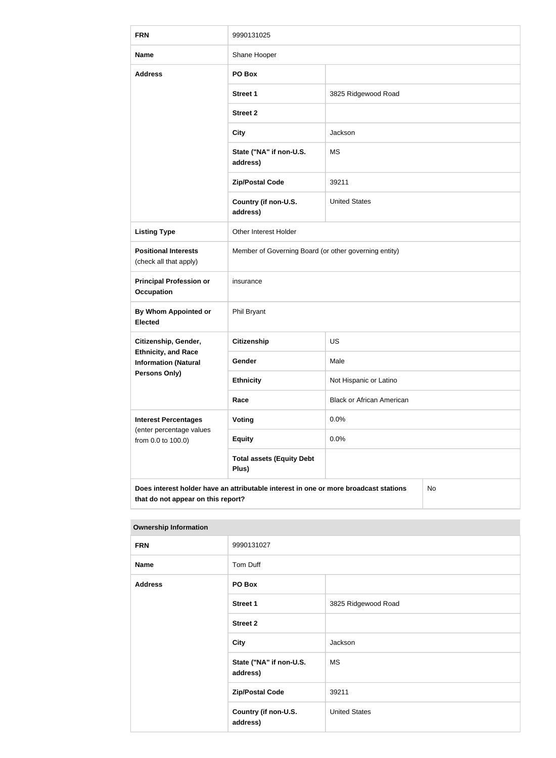| <b>FRN</b>                                                                                                                       | 9990131025                                            |                                  |  |  |
|----------------------------------------------------------------------------------------------------------------------------------|-------------------------------------------------------|----------------------------------|--|--|
| <b>Name</b>                                                                                                                      | Shane Hooper                                          |                                  |  |  |
| <b>Address</b>                                                                                                                   | PO Box                                                |                                  |  |  |
|                                                                                                                                  | <b>Street 1</b>                                       | 3825 Ridgewood Road              |  |  |
|                                                                                                                                  | <b>Street 2</b>                                       |                                  |  |  |
|                                                                                                                                  | <b>City</b>                                           | Jackson                          |  |  |
|                                                                                                                                  | State ("NA" if non-U.S.<br>address)                   | <b>MS</b>                        |  |  |
|                                                                                                                                  | <b>Zip/Postal Code</b>                                | 39211                            |  |  |
|                                                                                                                                  | Country (if non-U.S.<br>address)                      | <b>United States</b>             |  |  |
| <b>Listing Type</b>                                                                                                              | Other Interest Holder                                 |                                  |  |  |
| <b>Positional Interests</b><br>(check all that apply)                                                                            | Member of Governing Board (or other governing entity) |                                  |  |  |
| <b>Principal Profession or</b><br><b>Occupation</b>                                                                              | insurance                                             |                                  |  |  |
| By Whom Appointed or<br><b>Elected</b>                                                                                           | Phil Bryant                                           |                                  |  |  |
| Citizenship, Gender,                                                                                                             | <b>Citizenship</b>                                    | US                               |  |  |
| <b>Ethnicity, and Race</b><br><b>Information (Natural</b>                                                                        | Gender                                                | Male                             |  |  |
| <b>Persons Only)</b>                                                                                                             | <b>Ethnicity</b>                                      | Not Hispanic or Latino           |  |  |
|                                                                                                                                  | Race                                                  | <b>Black or African American</b> |  |  |
| <b>Interest Percentages</b><br>(enter percentage values                                                                          | <b>Voting</b>                                         | 0.0%                             |  |  |
| from 0.0 to 100.0)                                                                                                               | <b>Equity</b>                                         | 0.0%                             |  |  |
|                                                                                                                                  | <b>Total assets (Equity Debt</b><br>Plus)             |                                  |  |  |
| Does interest holder have an attributable interest in one or more broadcast stations<br>No<br>that do not appear on this report? |                                                       |                                  |  |  |

#### **Ownership Information**

| <b>FRN</b>     | 9990131027                          |                      |  |
|----------------|-------------------------------------|----------------------|--|
| <b>Name</b>    | Tom Duff                            |                      |  |
| <b>Address</b> | PO Box                              |                      |  |
|                | <b>Street 1</b>                     | 3825 Ridgewood Road  |  |
|                | <b>Street 2</b>                     |                      |  |
|                | <b>City</b>                         | Jackson              |  |
|                | State ("NA" if non-U.S.<br>address) | <b>MS</b>            |  |
|                | <b>Zip/Postal Code</b>              | 39211                |  |
|                | Country (if non-U.S.<br>address)    | <b>United States</b> |  |
|                |                                     |                      |  |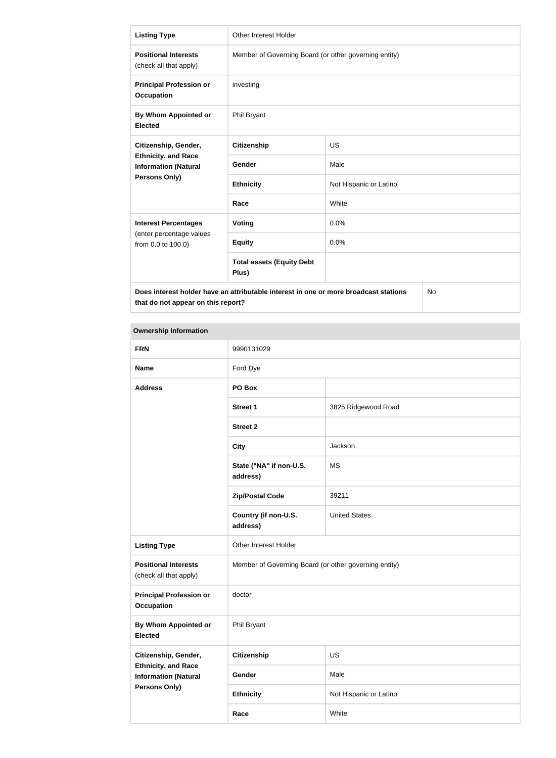| <b>Listing Type</b>                                                                        | <b>Other Interest Holder</b>                          |                        |  |  |
|--------------------------------------------------------------------------------------------|-------------------------------------------------------|------------------------|--|--|
| <b>Positional Interests</b><br>(check all that apply)                                      | Member of Governing Board (or other governing entity) |                        |  |  |
| <b>Principal Profession or</b><br><b>Occupation</b>                                        | investing                                             |                        |  |  |
| By Whom Appointed or<br><b>Elected</b>                                                     | Phil Bryant                                           |                        |  |  |
| Citizenship, Gender,                                                                       | <b>Citizenship</b>                                    | US                     |  |  |
| <b>Ethnicity, and Race</b><br><b>Information (Natural</b>                                  | <b>Gender</b>                                         | Male                   |  |  |
| Persons Only)                                                                              | <b>Ethnicity</b>                                      | Not Hispanic or Latino |  |  |
|                                                                                            | Race                                                  | White                  |  |  |
| <b>Interest Percentages</b>                                                                | Voting                                                | 0.0%                   |  |  |
| (enter percentage values<br>from 0.0 to 100.0)                                             | <b>Equity</b>                                         | 0.0%                   |  |  |
|                                                                                            | <b>Total assets (Equity Debt</b><br>Plus)             |                        |  |  |
| Does interest holder have an attributable interest in one or more broadcast stations<br>No |                                                       |                        |  |  |

| <b>Ownership Information</b>                              |                                                       |                        |  |  |  |
|-----------------------------------------------------------|-------------------------------------------------------|------------------------|--|--|--|
| <b>FRN</b>                                                | 9990131029                                            |                        |  |  |  |
| <b>Name</b>                                               | Ford Dye                                              |                        |  |  |  |
| <b>Address</b>                                            | PO Box                                                |                        |  |  |  |
|                                                           | <b>Street 1</b>                                       | 3825 Ridgewood Road    |  |  |  |
|                                                           | <b>Street 2</b>                                       |                        |  |  |  |
|                                                           | <b>City</b>                                           | Jackson                |  |  |  |
|                                                           | State ("NA" if non-U.S.<br>address)                   | <b>MS</b>              |  |  |  |
|                                                           | <b>Zip/Postal Code</b>                                | 39211                  |  |  |  |
|                                                           | Country (if non-U.S.<br>address)                      | <b>United States</b>   |  |  |  |
| <b>Listing Type</b>                                       | Other Interest Holder                                 |                        |  |  |  |
| <b>Positional Interests</b><br>(check all that apply)     | Member of Governing Board (or other governing entity) |                        |  |  |  |
| <b>Principal Profession or</b><br><b>Occupation</b>       | doctor                                                |                        |  |  |  |
| By Whom Appointed or<br><b>Elected</b>                    | Phil Bryant                                           |                        |  |  |  |
| Citizenship, Gender,                                      | <b>Citizenship</b>                                    | US                     |  |  |  |
| <b>Ethnicity, and Race</b><br><b>Information (Natural</b> | Gender                                                | Male                   |  |  |  |
| <b>Persons Only)</b>                                      | <b>Ethnicity</b>                                      | Not Hispanic or Latino |  |  |  |

**Race** White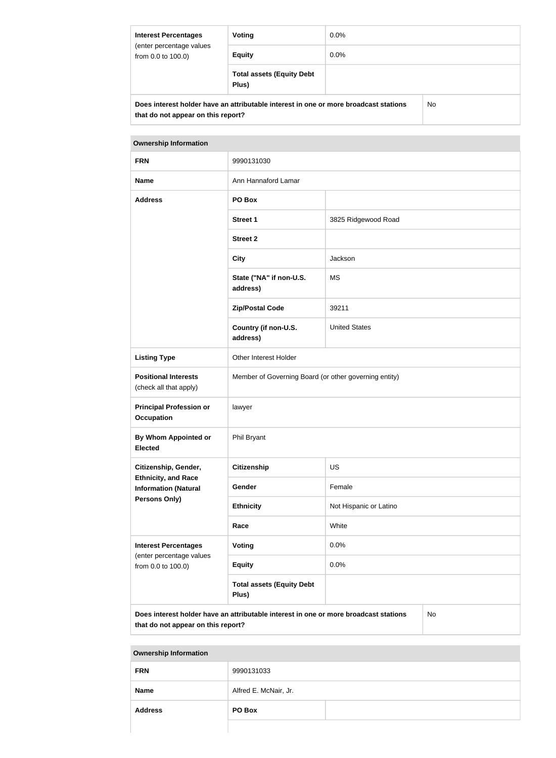| <b>Interest Percentages</b><br>(enter percentage values<br>from 0.0 to 100.0) | Voting                                                                               | $0.0\%$ |    |
|-------------------------------------------------------------------------------|--------------------------------------------------------------------------------------|---------|----|
|                                                                               | <b>Equity</b>                                                                        | $0.0\%$ |    |
|                                                                               | <b>Total assets (Equity Debt</b><br>Plus)                                            |         |    |
|                                                                               | Does interest holder have an attributable interest in one or more broadcast stations |         | No |

| <b>Ownership Information</b>                          |                                                       |                      |
|-------------------------------------------------------|-------------------------------------------------------|----------------------|
| <b>FRN</b>                                            | 9990131030                                            |                      |
| <b>Name</b>                                           | Ann Hannaford Lamar                                   |                      |
| <b>Address</b>                                        | PO Box                                                |                      |
|                                                       | <b>Street 1</b>                                       | 3825 Ridgewood Road  |
|                                                       | <b>Street 2</b>                                       |                      |
|                                                       | <b>City</b>                                           | Jackson              |
|                                                       | State ("NA" if non-U.S.<br>address)                   | <b>MS</b>            |
|                                                       | <b>Zip/Postal Code</b>                                | 39211                |
|                                                       | Country (if non-U.S.<br>address)                      | <b>United States</b> |
| <b>Listing Type</b>                                   | Other Interest Holder                                 |                      |
| <b>Positional Interests</b><br>(check all that apply) | Member of Governing Board (or other governing entity) |                      |

| <b>Principal Profession or</b><br><b>Occupation</b>                           | lawyer                           |                        |
|-------------------------------------------------------------------------------|----------------------------------|------------------------|
| By Whom Appointed or<br><b>Elected</b>                                        | Phil Bryant                      |                        |
| Citizenship, Gender,                                                          | Citizenship                      | <b>US</b>              |
| <b>Ethnicity, and Race</b><br><b>Information (Natural</b>                     | <b>Gender</b>                    | Female                 |
| <b>Persons Only)</b>                                                          | <b>Ethnicity</b>                 | Not Hispanic or Latino |
|                                                                               | Race                             | White                  |
| <b>Interest Percentages</b><br>(enter percentage values<br>from 0.0 to 100.0) | <b>Voting</b>                    | 0.0%                   |
|                                                                               | <b>Equity</b>                    | 0.0%                   |
|                                                                               | <b>Total assets (Equity Debt</b> |                        |

**Does interest holder have an attributable interest in one or more broadcast stations that do not appear on this report?**

**Plus)**

No

#### **Ownership Information**

| <b>FRN</b>     | 9990131033            |  |
|----------------|-----------------------|--|
| <b>Name</b>    | Alfred E. McNair, Jr. |  |
| <b>Address</b> | PO Box                |  |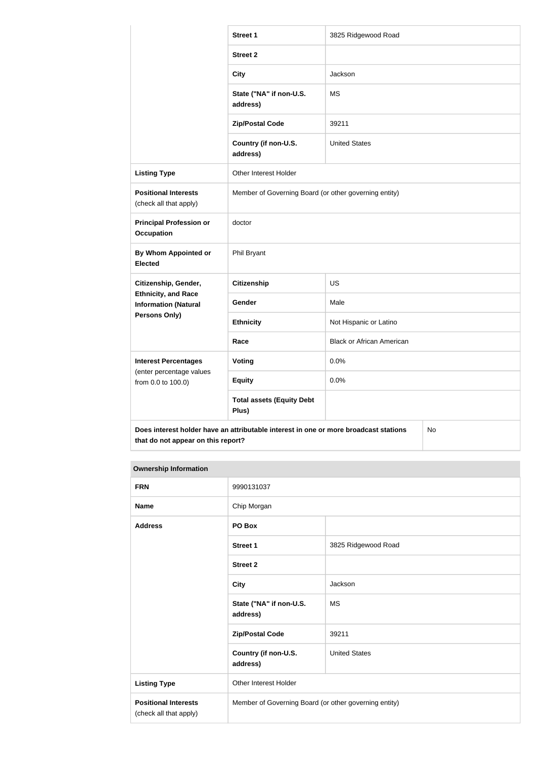|                                                           | <b>Street 1</b>                                                                      | 3825 Ridgewood Road              |  |
|-----------------------------------------------------------|--------------------------------------------------------------------------------------|----------------------------------|--|
|                                                           | <b>Street 2</b>                                                                      |                                  |  |
|                                                           | <b>City</b>                                                                          | Jackson                          |  |
|                                                           | State ("NA" if non-U.S.<br>address)                                                  | <b>MS</b>                        |  |
|                                                           | <b>Zip/Postal Code</b>                                                               | 39211                            |  |
|                                                           | Country (if non-U.S.<br>address)                                                     | <b>United States</b>             |  |
| <b>Listing Type</b>                                       | Other Interest Holder                                                                |                                  |  |
| <b>Positional Interests</b><br>(check all that apply)     | Member of Governing Board (or other governing entity)                                |                                  |  |
| <b>Principal Profession or</b><br><b>Occupation</b>       | doctor                                                                               |                                  |  |
| By Whom Appointed or<br><b>Elected</b>                    | Phil Bryant                                                                          |                                  |  |
| Citizenship, Gender,                                      | <b>Citizenship</b>                                                                   | <b>US</b>                        |  |
| <b>Ethnicity, and Race</b><br><b>Information (Natural</b> | Gender                                                                               | Male                             |  |
| <b>Persons Only)</b>                                      | <b>Ethnicity</b>                                                                     | Not Hispanic or Latino           |  |
|                                                           | Race                                                                                 | <b>Black or African American</b> |  |
| <b>Interest Percentages</b>                               | Voting                                                                               | 0.0%                             |  |
| (enter percentage values<br>from 0.0 to 100.0)            | <b>Equity</b>                                                                        | 0.0%                             |  |
|                                                           | <b>Total assets (Equity Debt</b><br>Plus)                                            |                                  |  |
|                                                           | Does interest holder have an attributable interest in one or more broadcast stations | No                               |  |

| <b>Ownership Information</b> |
|------------------------------|

| <b>FRN</b>                                            | 9990131037                                            |                      |
|-------------------------------------------------------|-------------------------------------------------------|----------------------|
| <b>Name</b>                                           | Chip Morgan                                           |                      |
| <b>Address</b>                                        | PO Box                                                |                      |
|                                                       | <b>Street 1</b>                                       | 3825 Ridgewood Road  |
|                                                       | <b>Street 2</b>                                       |                      |
|                                                       | <b>City</b>                                           | Jackson              |
|                                                       | State ("NA" if non-U.S.<br>address)                   | <b>MS</b>            |
|                                                       | <b>Zip/Postal Code</b>                                | 39211                |
|                                                       | Country (if non-U.S.<br>address)                      | <b>United States</b> |
| <b>Listing Type</b>                                   | Other Interest Holder                                 |                      |
| <b>Positional Interests</b><br>(check all that apply) | Member of Governing Board (or other governing entity) |                      |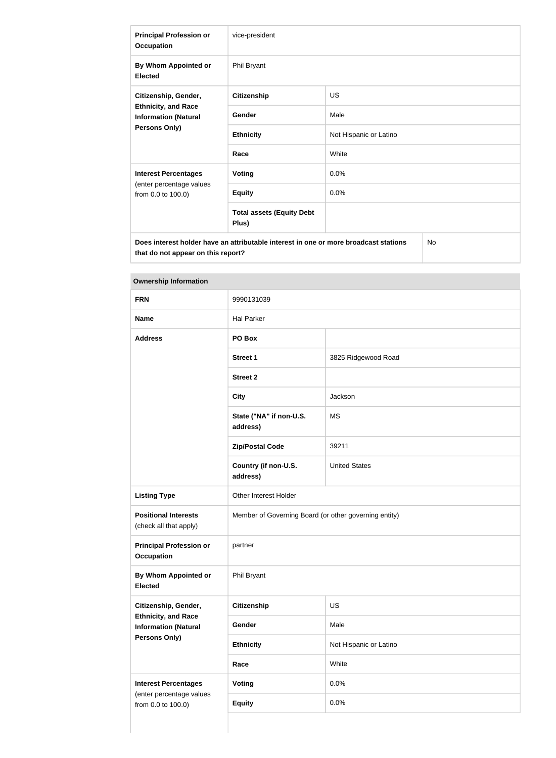| <b>Principal Profession or</b><br><b>Occupation</b>                                                | vice-president                            |                        |  |
|----------------------------------------------------------------------------------------------------|-------------------------------------------|------------------------|--|
| By Whom Appointed or<br><b>Elected</b>                                                             | Phil Bryant                               |                        |  |
| Citizenship, Gender,<br><b>Ethnicity, and Race</b><br><b>Information (Natural</b><br>Persons Only) | <b>Citizenship</b>                        | <b>US</b>              |  |
|                                                                                                    | Gender                                    | Male                   |  |
|                                                                                                    | <b>Ethnicity</b>                          | Not Hispanic or Latino |  |
|                                                                                                    | Race                                      | White                  |  |
| <b>Interest Percentages</b>                                                                        | <b>Voting</b>                             | 0.0%                   |  |
| (enter percentage values<br>from 0.0 to 100.0)                                                     | <b>Equity</b>                             | 0.0%                   |  |
|                                                                                                    | <b>Total assets (Equity Debt</b><br>Plus) |                        |  |
| <b>No</b><br>Does interest holder have an attributable interest in one or more broadcast stations  |                                           |                        |  |

**Ownership Information**

| <b>FRN</b>                                                | 9990131039                                            |                        |
|-----------------------------------------------------------|-------------------------------------------------------|------------------------|
| <b>Name</b>                                               | <b>Hal Parker</b>                                     |                        |
| <b>Address</b>                                            | PO Box                                                |                        |
|                                                           | Street 1                                              | 3825 Ridgewood Road    |
|                                                           | <b>Street 2</b>                                       |                        |
|                                                           | <b>City</b>                                           | Jackson                |
|                                                           | State ("NA" if non-U.S.<br>address)                   | <b>MS</b>              |
|                                                           | <b>Zip/Postal Code</b>                                | 39211                  |
|                                                           | Country (if non-U.S.<br>address)                      | <b>United States</b>   |
| <b>Listing Type</b>                                       | Other Interest Holder                                 |                        |
| <b>Positional Interests</b><br>(check all that apply)     | Member of Governing Board (or other governing entity) |                        |
| <b>Principal Profession or</b><br><b>Occupation</b>       | partner                                               |                        |
| By Whom Appointed or<br><b>Elected</b>                    | Phil Bryant                                           |                        |
| Citizenship, Gender,                                      | <b>Citizenship</b>                                    | US                     |
| <b>Ethnicity, and Race</b><br><b>Information (Natural</b> | Gender                                                | Male                   |
| Persons Only)                                             | <b>Ethnicity</b>                                      | Not Hispanic or Latino |
|                                                           | Race                                                  | White                  |
| <b>Interest Percentages</b>                               | <b>Voting</b>                                         | 0.0%                   |
| (enter percentage values<br>from 0.0 to 100.0)            | <b>Equity</b>                                         | 0.0%                   |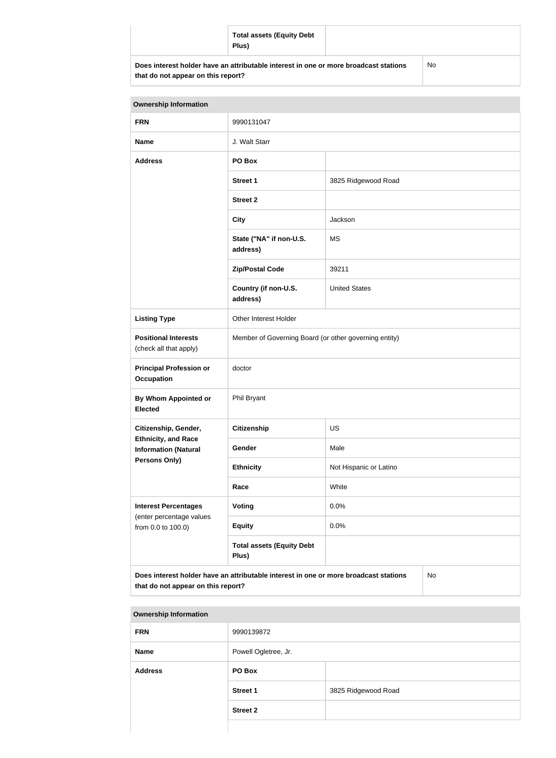|                                                                                                                            | <b>Total assets (Equity Debt</b><br>Plus) |           |
|----------------------------------------------------------------------------------------------------------------------------|-------------------------------------------|-----------|
| Does interest holder have an attributable interest in one or more broadcast stations<br>that do not appear on this report? |                                           | <b>No</b> |

| <b>Ownership Information</b>                                                                                                     |                                                       |                        |  |
|----------------------------------------------------------------------------------------------------------------------------------|-------------------------------------------------------|------------------------|--|
| <b>FRN</b>                                                                                                                       | 9990131047                                            |                        |  |
| <b>Name</b>                                                                                                                      | J. Walt Starr                                         |                        |  |
| <b>Address</b>                                                                                                                   | PO Box                                                |                        |  |
|                                                                                                                                  | <b>Street 1</b>                                       | 3825 Ridgewood Road    |  |
|                                                                                                                                  | <b>Street 2</b>                                       |                        |  |
|                                                                                                                                  | <b>City</b>                                           | Jackson                |  |
|                                                                                                                                  | State ("NA" if non-U.S.<br>address)                   | <b>MS</b>              |  |
|                                                                                                                                  | <b>Zip/Postal Code</b>                                | 39211                  |  |
|                                                                                                                                  | Country (if non-U.S.<br>address)                      | <b>United States</b>   |  |
| <b>Listing Type</b>                                                                                                              | Other Interest Holder                                 |                        |  |
| <b>Positional Interests</b><br>(check all that apply)                                                                            | Member of Governing Board (or other governing entity) |                        |  |
| <b>Principal Profession or</b><br><b>Occupation</b>                                                                              | doctor                                                |                        |  |
| <b>By Whom Appointed or</b><br><b>Elected</b>                                                                                    | Phil Bryant                                           |                        |  |
| Citizenship, Gender,                                                                                                             | <b>Citizenship</b>                                    | US                     |  |
| <b>Ethnicity, and Race</b><br><b>Information (Natural</b>                                                                        | Gender                                                | Male                   |  |
| <b>Persons Only)</b>                                                                                                             | <b>Ethnicity</b>                                      | Not Hispanic or Latino |  |
|                                                                                                                                  | Race                                                  | White                  |  |
| <b>Interest Percentages</b><br>(enter percentage values                                                                          | Voting                                                | 0.0%                   |  |
| from 0.0 to 100.0)                                                                                                               | <b>Equity</b>                                         | 0.0%                   |  |
|                                                                                                                                  | <b>Total assets (Equity Debt</b><br>Plus)             |                        |  |
| Does interest holder have an attributable interest in one or more broadcast stations<br>No<br>that do not appear on this report? |                                                       |                        |  |

| <b>Ownership Information</b> |                      |                     |
|------------------------------|----------------------|---------------------|
| <b>FRN</b>                   | 9990139872           |                     |
| <b>Name</b>                  | Powell Ogletree, Jr. |                     |
| <b>Address</b>               | PO Box               |                     |
|                              | <b>Street 1</b>      | 3825 Ridgewood Road |
|                              | <b>Street 2</b>      |                     |
|                              |                      |                     |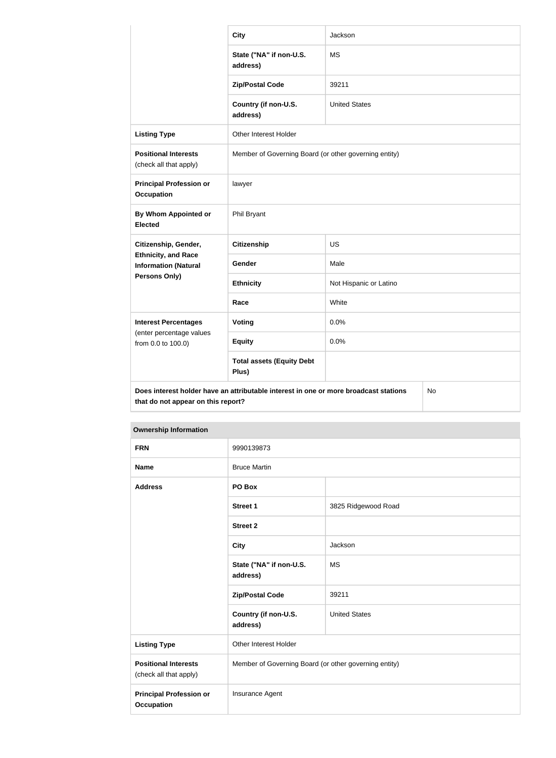|                                                                                                                                  | <b>City</b>                                           | Jackson                |  |
|----------------------------------------------------------------------------------------------------------------------------------|-------------------------------------------------------|------------------------|--|
|                                                                                                                                  | State ("NA" if non-U.S.<br>address)                   | <b>MS</b>              |  |
|                                                                                                                                  | <b>Zip/Postal Code</b>                                | 39211                  |  |
|                                                                                                                                  | Country (if non-U.S.<br>address)                      | <b>United States</b>   |  |
| <b>Listing Type</b>                                                                                                              | Other Interest Holder                                 |                        |  |
| <b>Positional Interests</b><br>(check all that apply)                                                                            | Member of Governing Board (or other governing entity) |                        |  |
| <b>Principal Profession or</b><br><b>Occupation</b>                                                                              | lawyer                                                |                        |  |
| <b>By Whom Appointed or</b><br><b>Elected</b>                                                                                    | Phil Bryant                                           |                        |  |
| Citizenship, Gender,<br><b>Ethnicity, and Race</b><br><b>Information (Natural</b><br>Persons Only)                               | <b>Citizenship</b>                                    | <b>US</b>              |  |
|                                                                                                                                  | Gender                                                | Male                   |  |
|                                                                                                                                  | <b>Ethnicity</b>                                      | Not Hispanic or Latino |  |
|                                                                                                                                  | Race                                                  | White                  |  |
| <b>Interest Percentages</b><br>(enter percentage values<br>from 0.0 to 100.0)                                                    | Voting                                                | 0.0%                   |  |
|                                                                                                                                  | <b>Equity</b>                                         | 0.0%                   |  |
|                                                                                                                                  | <b>Total assets (Equity Debt</b><br>Plus)             |                        |  |
| Does interest holder have an attributable interest in one or more broadcast stations<br>No<br>that do not appear on this report? |                                                       |                        |  |

| <b>Ownership Information</b>                          |                                                       |                      |
|-------------------------------------------------------|-------------------------------------------------------|----------------------|
| <b>FRN</b>                                            | 9990139873                                            |                      |
| <b>Name</b>                                           | <b>Bruce Martin</b>                                   |                      |
| <b>Address</b>                                        | PO Box                                                |                      |
|                                                       | <b>Street 1</b>                                       | 3825 Ridgewood Road  |
|                                                       | <b>Street 2</b>                                       |                      |
|                                                       | <b>City</b>                                           | Jackson              |
|                                                       | State ("NA" if non-U.S.<br>address)                   | <b>MS</b>            |
|                                                       | <b>Zip/Postal Code</b>                                | 39211                |
|                                                       | Country (if non-U.S.<br>address)                      | <b>United States</b> |
| <b>Listing Type</b>                                   | Other Interest Holder                                 |                      |
| <b>Positional Interests</b><br>(check all that apply) | Member of Governing Board (or other governing entity) |                      |
| <b>Principal Profession or</b><br><b>Occupation</b>   | Insurance Agent                                       |                      |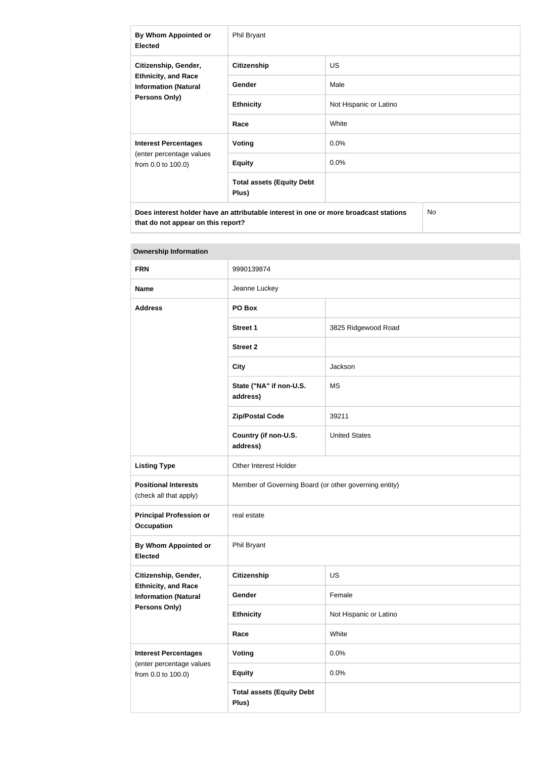| By Whom Appointed or<br><b>Elected</b>                                                                    | Phil Bryant                               |                        |
|-----------------------------------------------------------------------------------------------------------|-------------------------------------------|------------------------|
| Citizenship, Gender,<br><b>Ethnicity, and Race</b><br><b>Information (Natural</b><br><b>Persons Only)</b> | <b>Citizenship</b>                        | <b>US</b>              |
|                                                                                                           | <b>Gender</b>                             | Male                   |
|                                                                                                           | <b>Ethnicity</b>                          | Not Hispanic or Latino |
|                                                                                                           | Race                                      | White                  |
| <b>Interest Percentages</b><br>(enter percentage values<br>from 0.0 to 100.0)                             | Voting                                    | $0.0\%$                |
|                                                                                                           | <b>Equity</b>                             | $0.0\%$                |
|                                                                                                           | <b>Total assets (Equity Debt</b><br>Plus) |                        |
| Does interest holder have an attributable interest in one or more broadcast stations<br>No                |                                           |                        |

| <b>Ownership Information</b>                                                                       |                                                       |                        |
|----------------------------------------------------------------------------------------------------|-------------------------------------------------------|------------------------|
| <b>FRN</b>                                                                                         | 9990139874                                            |                        |
| <b>Name</b>                                                                                        | Jeanne Luckey                                         |                        |
| <b>Address</b>                                                                                     | PO Box                                                |                        |
|                                                                                                    | <b>Street 1</b>                                       | 3825 Ridgewood Road    |
|                                                                                                    | <b>Street 2</b>                                       |                        |
|                                                                                                    | <b>City</b>                                           | Jackson                |
|                                                                                                    | State ("NA" if non-U.S.<br>address)                   | <b>MS</b>              |
|                                                                                                    | <b>Zip/Postal Code</b>                                | 39211                  |
|                                                                                                    | Country (if non-U.S.<br>address)                      | <b>United States</b>   |
| <b>Listing Type</b>                                                                                | Other Interest Holder                                 |                        |
| <b>Positional Interests</b><br>(check all that apply)                                              | Member of Governing Board (or other governing entity) |                        |
| <b>Principal Profession or</b><br><b>Occupation</b>                                                | real estate                                           |                        |
| <b>By Whom Appointed or</b><br><b>Elected</b>                                                      | Phil Bryant                                           |                        |
| Citizenship, Gender,<br><b>Ethnicity, and Race</b><br><b>Information (Natural</b><br>Persons Only) | <b>Citizenship</b>                                    | US                     |
|                                                                                                    | Gender                                                | Female                 |
|                                                                                                    | <b>Ethnicity</b>                                      | Not Hispanic or Latino |
|                                                                                                    | Race                                                  | White                  |
| <b>Interest Percentages</b><br>(enter percentage values<br>from 0.0 to 100.0)                      | <b>Voting</b>                                         | 0.0%                   |
|                                                                                                    | <b>Equity</b>                                         | 0.0%                   |
|                                                                                                    | <b>Total assets (Equity Debt</b><br>Plus)             |                        |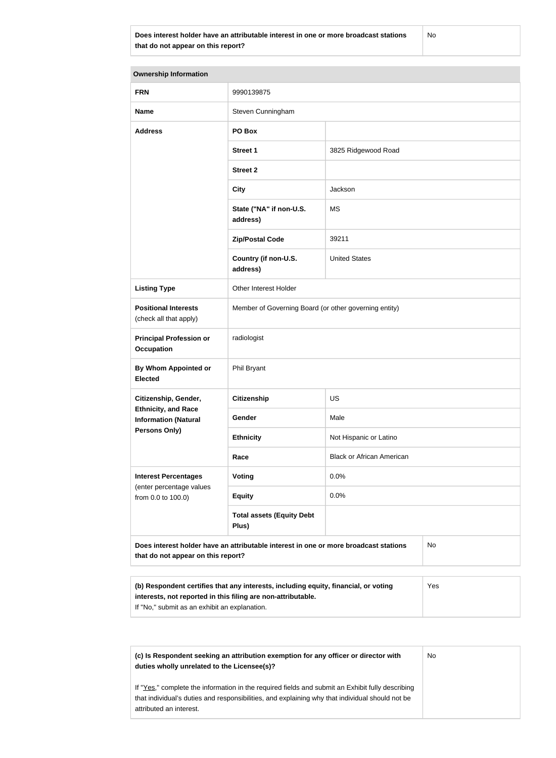**Does interest holder have an attributable interest in one or more broadcast stations that do not appear on this report?**

No

| <b>Ownership Information</b>                                                                                                                               |                                                       |                                  |  |  |
|------------------------------------------------------------------------------------------------------------------------------------------------------------|-------------------------------------------------------|----------------------------------|--|--|
| <b>FRN</b>                                                                                                                                                 | 9990139875                                            |                                  |  |  |
| <b>Name</b>                                                                                                                                                | Steven Cunningham                                     |                                  |  |  |
| <b>Address</b>                                                                                                                                             | PO Box                                                |                                  |  |  |
|                                                                                                                                                            | <b>Street 1</b>                                       | 3825 Ridgewood Road              |  |  |
|                                                                                                                                                            | <b>Street 2</b>                                       |                                  |  |  |
|                                                                                                                                                            | <b>City</b>                                           | Jackson                          |  |  |
|                                                                                                                                                            | State ("NA" if non-U.S.<br>address)                   | <b>MS</b>                        |  |  |
|                                                                                                                                                            | <b>Zip/Postal Code</b>                                | 39211                            |  |  |
|                                                                                                                                                            | Country (if non-U.S.<br>address)                      | <b>United States</b>             |  |  |
| <b>Listing Type</b>                                                                                                                                        | Other Interest Holder                                 |                                  |  |  |
| <b>Positional Interests</b><br>(check all that apply)                                                                                                      | Member of Governing Board (or other governing entity) |                                  |  |  |
| <b>Principal Profession or</b><br><b>Occupation</b>                                                                                                        | radiologist                                           |                                  |  |  |
| By Whom Appointed or<br><b>Elected</b>                                                                                                                     | <b>Phil Bryant</b>                                    |                                  |  |  |
| Citizenship, Gender,<br><b>Ethnicity, and Race</b><br><b>Information (Natural</b>                                                                          | <b>Citizenship</b>                                    | <b>US</b>                        |  |  |
|                                                                                                                                                            | Gender                                                | Male                             |  |  |
| <b>Persons Only)</b>                                                                                                                                       | <b>Ethnicity</b>                                      | Not Hispanic or Latino           |  |  |
|                                                                                                                                                            | Race                                                  | <b>Black or African American</b> |  |  |
| <b>Interest Percentages</b><br>(enter percentage values<br>from 0.0 to 100.0)                                                                              | <b>Voting</b>                                         | 0.0%                             |  |  |
|                                                                                                                                                            | <b>Equity</b>                                         | 0.0%                             |  |  |
|                                                                                                                                                            | <b>Total assets (Equity Debt</b><br>Plus)             |                                  |  |  |
| Does interest holder have an attributable interest in one or more broadcast stations<br>No<br>that do not appear on this report?                           |                                                       |                                  |  |  |
| (b) Respondent certifies that any interests, including equity, financial, or voting<br>Yes<br>interests, not reported in this filing are non-attributable. |                                                       |                                  |  |  |

If "No," submit as an exhibit an explanation.

**(c) Is Respondent seeking an attribution exemption for any officer or director with duties wholly unrelated to the Licensee(s)?**

No

If "Yes," complete the information in the required fields and submit an Exhibit fully describing that individual's duties and responsibilities, and explaining why that individual should not be attributed an interest.